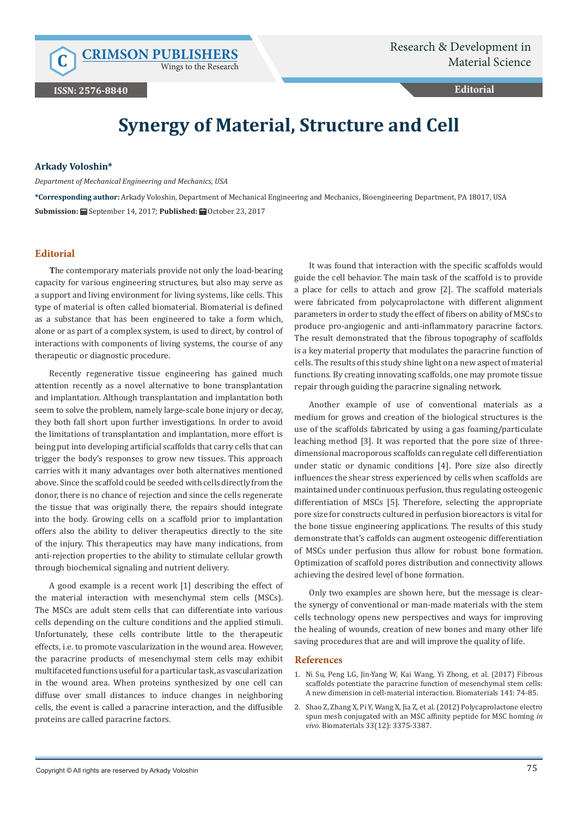Wings to the Research

**Editorial**

## **Synergy of Material, Structure and Cell**

## **Arkady Voloshin\***

*Department of Mechanical Engineering and Mechanics, USA*

**\*Corresponding author:** Arkady Voloshin, Department of Mechanical Engineering and Mechanics, Bioengineering Department, PA 18017, USA **Submission:** September 14, 2017; **Published:** October 23, 2017

## **Editorial**

**T**he contemporary materials provide not only the load-bearing capacity for various engineering structures, but also may serve as a support and living environment for living systems, like cells. This type of material is often called biomaterial. Biomaterial is defined as a substance that has been engineered to take a form which, alone or as part of a complex system, is used to direct, by control of interactions with components of living systems, the course of any therapeutic or diagnostic procedure.

Recently regenerative tissue engineering has gained much attention recently as a novel alternative to bone transplantation and implantation. Although transplantation and implantation both seem to solve the problem, namely large-scale bone injury or decay, they both fall short upon further investigations. In order to avoid the limitations of transplantation and implantation, more effort is being put into developing artificial scaffolds that carry cells that can trigger the body's responses to grow new tissues. This approach carries with it many advantages over both alternatives mentioned above. Since the scaffold could be seeded with cells directly from the donor, there is no chance of rejection and since the cells regenerate the tissue that was originally there, the repairs should integrate into the body. Growing cells on a scaffold prior to implantation offers also the ability to deliver therapeutics directly to the site of the injury. This therapeutics may have many indications, from anti-rejection properties to the ability to stimulate cellular growth through biochemical signaling and nutrient delivery.

A good example is a recent work [1] describing the effect of the material interaction with mesenchymal stem cells (MSCs). The MSCs are adult stem cells that can differentiate into various cells depending on the culture conditions and the applied stimuli. Unfortunately, these cells contribute little to the therapeutic effects, i.e. to promote vascularization in the wound area. However, the paracrine products of mesenchymal stem cells may exhibit multifaceted functions useful for a particular task, as vascularization in the wound area. When proteins synthesized by one cell can diffuse over small distances to induce changes in neighboring cells, the event is called a paracrine interaction, and the diffusible proteins are called paracrine factors.

It was found that interaction with the specific scaffolds would guide the cell behavior. The main task of the scaffold is to provide a place for cells to attach and grow [2]. The scaffold materials were fabricated from polycaprolactone with different alignment parameters in order to study the effect of fibers on ability of MSCs to produce pro-angiogenic and anti-inflammatory paracrine factors. The result demonstrated that the fibrous topography of scaffolds is a key material property that modulates the paracrine function of cells. The results of this study shine light on a new aspect of material functions. By creating innovating scaffolds, one may promote tissue repair through guiding the paracrine signaling network.

Another example of use of conventional materials as a medium for grows and creation of the biological structures is the use of the scaffolds fabricated by using a gas foaming/particulate leaching method [3]. It was reported that the pore size of threedimensional macroporous scaffolds can regulate cell differentiation under static or dynamic conditions [4]. Pore size also directly influences the shear stress experienced by cells when scaffolds are maintained under continuous perfusion, thus regulating osteogenic differentiation of MSCs [5]. Therefore, selecting the appropriate pore size for constructs cultured in perfusion bioreactors is vital for the bone tissue engineering applications. The results of this study demonstrate that's caffolds can augment osteogenic differentiation of MSCs under perfusion thus allow for robust bone formation. Optimization of scaffold pores distribution and connectivity allows achieving the desired level of bone formation.

Only two examples are shown here, but the message is clearthe synergy of conventional or man-made materials with the stem cells technology opens new perspectives and ways for improving the healing of wounds, creation of new bones and many other life saving procedures that are and will improve the quality of life.

## **References**

- 1. [Ni Su, Peng LG, Jin-Yang W, Kai Wang, Yi Zhong, et al. \(2017\) Fibrous](http://www.sciencedirect.com/science/article/pii/S0142961217304271) [scaffolds potentiate the paracrine function of mesenchymal stem cells:](http://www.sciencedirect.com/science/article/pii/S0142961217304271) [A new dimension in cell-material interaction. Biomaterials 141: 74-85.](http://www.sciencedirect.com/science/article/pii/S0142961217304271)
- 2. [Shao Z, Zhang X, Pi Y, Wang X, Jia Z, et al. \(2012\) Polycaprolactone electro](https://www.ncbi.nlm.nih.gov/pubmed/22322196) [spun mesh conjugated with an MSC affinity peptide for MSC homing](https://www.ncbi.nlm.nih.gov/pubmed/22322196) *in vivo*[. Biomaterials 33\(12\): 3375-3387.](https://www.ncbi.nlm.nih.gov/pubmed/22322196)